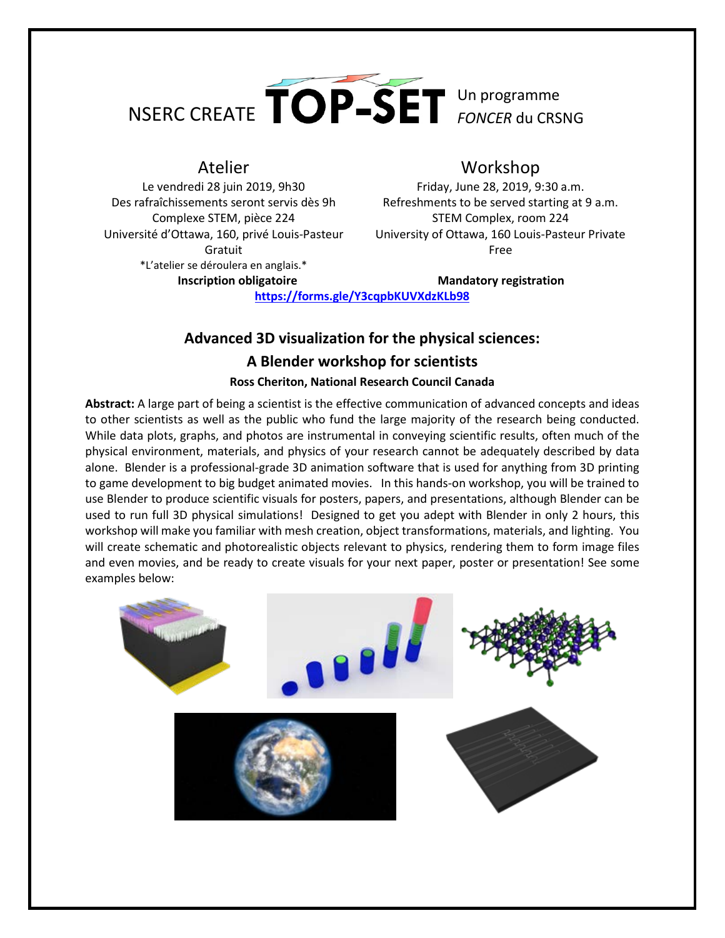

Le vendredi 28 juin 2019, 9h30 Des rafraîchissements seront servis dès 9h Complexe STEM, pièce 224 Université d'Ottawa, 160, privé Louis-Pasteur Gratuit \*L'atelier se déroulera en anglais.\*

## Atelier Workshop

Friday, June 28, 2019, 9:30 a.m. Refreshments to be served starting at 9 a.m. STEM Complex, room 224 University of Ottawa, 160 Louis-Pasteur Private Free

**Inscription obligatoire Mandatory registration** 

**<https://forms.gle/Y3cqpbKUVXdzKLb98>**

## **Advanced 3D visualization for the physical sciences: A Blender workshop for scientists**

## **Ross Cheriton, National Research Council Canada**

**Abstract:** A large part of being a scientist is the effective communication of advanced concepts and ideas to other scientists as well as the public who fund the large majority of the research being conducted. While data plots, graphs, and photos are instrumental in conveying scientific results, often much of the physical environment, materials, and physics of your research cannot be adequately described by data alone. Blender is a professional-grade 3D animation software that is used for anything from 3D printing to game development to big budget animated movies. In this hands-on workshop, you will be trained to use Blender to produce scientific visuals for posters, papers, and presentations, although Blender can be used to run full 3D physical simulations! Designed to get you adept with Blender in only 2 hours, this workshop will make you familiar with mesh creation, object transformations, materials, and lighting. You will create schematic and photorealistic objects relevant to physics, rendering them to form image files and even movies, and be ready to create visuals for your next paper, poster or presentation! See some examples below: